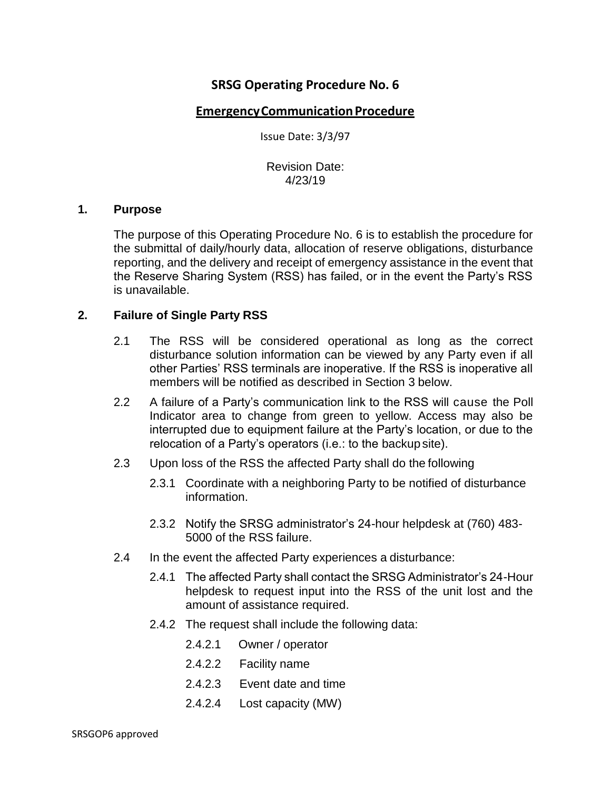# **SRSG Operating Procedure No. 6**

### **Emergency Communication Procedure**

Issue Date: 3/3/97

Revision Date: 4/23/19

#### **1. Purpose**

The purpose of this Operating Procedure No. 6 is to establish the procedure for the submittal of daily/hourly data, allocation of reserve obligations, disturbance reporting, and the delivery and receipt of emergency assistance in the event that the Reserve Sharing System (RSS) has failed, or in the event the Party's RSS is unavailable.

#### **2. Failure of Single Party RSS**

- 2.1 The RSS will be considered operational as long as the correct disturbance solution information can be viewed by any Party even if all other Parties' RSS terminals are inoperative. If the RSS is inoperative all members will be notified as described in Section 3 below.
- 2.2 A failure of a Party's communication link to the RSS will cause the Poll Indicator area to change from green to yellow. Access may also be interrupted due to equipment failure at the Party's location, or due to the relocation of a Party's operators (i.e.: to the backup site).
- 2.3 Upon loss of the RSS the affected Party shall do the following
	- 2.3.1 Coordinate with a neighboring Party to be notified of disturbance information.
	- 2.3.2 Notify the SRSG administrator's 24-hour helpdesk at (760) 483- 5000 of the RSS failure.
- 2.4 In the event the affected Party experiences a disturbance:
	- 2.4.1 The affected Party shall contact the SRSG Administrator's 24-Hour helpdesk to request input into the RSS of the unit lost and the amount of assistance required.
	- 2.4.2 The request shall include the following data:
		- 2.4.2.1 Owner / operator
		- 2.4.2.2 Facility name
		- 2.4.2.3 Event date and time
		- 2.4.2.4 Lost capacity (MW)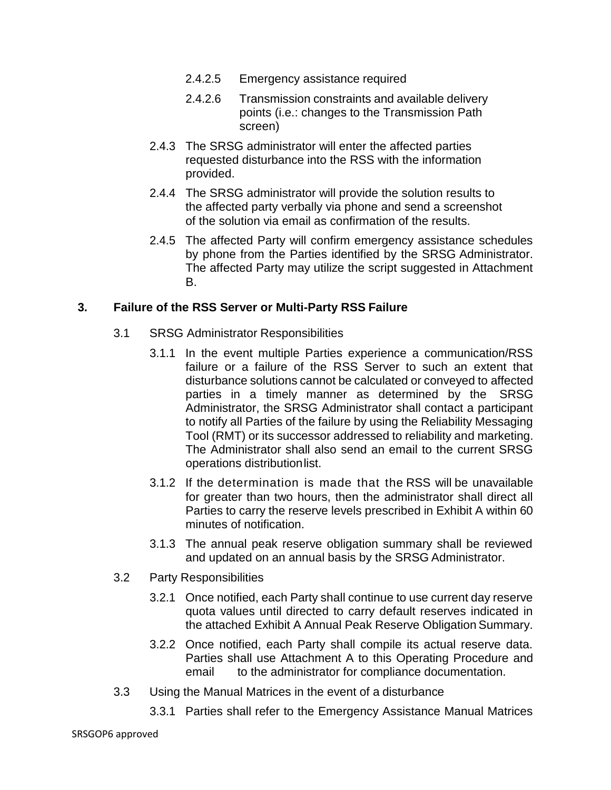- 2.4.2.5 Emergency assistance required
- 2.4.2.6 Transmission constraints and available delivery points (i.e.: changes to the Transmission Path screen)
- 2.4.3 The SRSG administrator will enter the affected parties requested disturbance into the RSS with the information provided.
- 2.4.4 The SRSG administrator will provide the solution results to the affected party verbally via phone and send a screenshot of the solution via email as confirmation of the results.
- 2.4.5 The affected Party will confirm emergency assistance schedules by phone from the Parties identified by the SRSG Administrator. The affected Party may utilize the script suggested in Attachment B.

## **3. Failure of the RSS Server or Multi-Party RSS Failure**

- 3.1 SRSG Administrator Responsibilities
	- 3.1.1 In the event multiple Parties experience a communication/RSS failure or a failure of the RSS Server to such an extent that disturbance solutions cannot be calculated or conveyed to affected parties in a timely manner as determined by the SRSG Administrator, the SRSG Administrator shall contact a participant to notify all Parties of the failure by using the Reliability Messaging Tool (RMT) or its successor addressed to reliability and marketing. The Administrator shall also send an email to the current SRSG operations distributionlist.
	- 3.1.2 If the determination is made that the RSS will be unavailable for greater than two hours, then the administrator shall direct all Parties to carry the reserve levels prescribed in Exhibit A within 60 minutes of notification.
	- 3.1.3 The annual peak reserve obligation summary shall be reviewed and updated on an annual basis by the SRSG Administrator.
- 3.2 Party Responsibilities
	- 3.2.1 Once notified, each Party shall continue to use current day reserve quota values until directed to carry default reserves indicated in the attached Exhibit A Annual Peak Reserve Obligation Summary.
	- 3.2.2 Once notified, each Party shall compile its actual reserve data. Parties shall use Attachment A to this Operating Procedure and email to the administrator for compliance documentation.
- 3.3 Using the Manual Matrices in the event of a disturbance
	- 3.3.1 Parties shall refer to the Emergency Assistance Manual Matrices